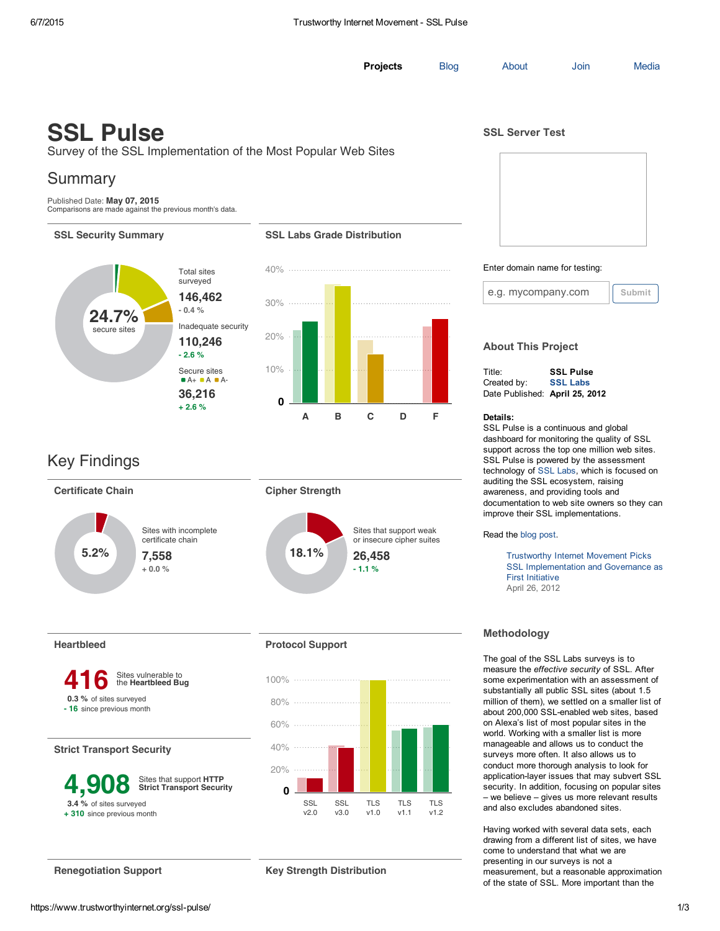**[Projects](https://www.trustworthyinternet.org/projects/)** [Blog](https://www.trustworthyinternet.org/blog/) [About](https://www.trustworthyinternet.org/) [Join](https://www.trustworthyinternet.org/join/) [Media](https://www.trustworthyinternet.org/media/)

# SSL Pulse

Survey of the SSL Implementation of the Most Popular Web Sites

## Summary

Published Date: May 07, 2015 Comparisons are made against the previous month's data.

#### SSL Security Summary Same SSL Labs Grade Distribution



## Key Findings



Heartbleed



#### Strict Transport Security

| 4,908                     | Sites that support HTTP<br><b>Strict Transport Security</b> |  |  |  |
|---------------------------|-------------------------------------------------------------|--|--|--|
| 3.4 % of sites surveyed   |                                                             |  |  |  |
| +310 since previous month |                                                             |  |  |  |

### Protocol Support



Renegotiation Support Key Strength Distribution

SSL Server Test



#### Enter domain name for testing:



### About This Project

| Title:                         | <b>SSL Pulse</b> |
|--------------------------------|------------------|
| Created by:                    | <b>SSL Labs</b>  |
| Date Published: April 25, 2012 |                  |

#### Details:

SSL Pulse is a continuous and global dashboard for monitoring the quality of SSL support across the top one million web sites. SSL Pulse is powered by the assessment technology of SSL [Labs,](https://www.ssllabs.com/ssltest/analyze.html?d=www.ssllabs.com&source=tim) which is focused on auditing the SSL ecosystem, raising awareness, and providing tools and documentation to web site owners so they can improve their SSL implementations.

Read the blog [post.](https://www.trustworthyinternet.org/blog/2012/4/25/ssl-pulse-to-make-ssl-more-secure-and-pervasive.html)

Trustworthy Internet Movement Picks SSL [Implementation](https://www.trustworthyinternet.org/docs/tim-first-initiative.pdf) and Governance as First Initiative April 26, 2012

### Methodology

The goal of the SSL Labs surveys is to measure the *effective security* of SSL. After some experimentation with an assessment of substantially all public SSL sites (about 1.5 million of them), we settled on a smaller list of about 200,000 SSL-enabled web sites, based on Alexa's list of most popular sites in the world. Working with a smaller list is more manageable and allows us to conduct the surveys more often. It also allows us to conduct more thorough analysis to look for application-layer issues that may subvert SSL security. In addition, focusing on popular sites – we believe – gives us more relevant results and also excludes abandoned sites.

Having worked with several data sets, each drawing from a different list of sites, we have come to understand that what we are presenting in our surveys is not a measurement, but a reasonable approximation of the state of SSL. More important than the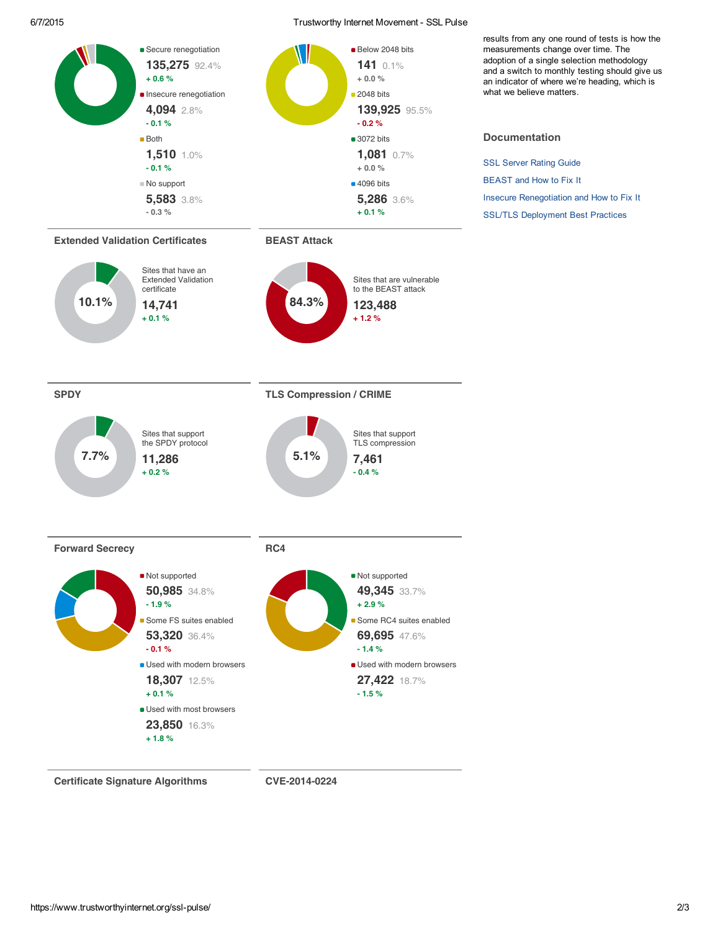#### 6/7/2015 Trustworthy Internet Movement SSL Pulse



Certificate Signature Algorithms CVE-2014-0224